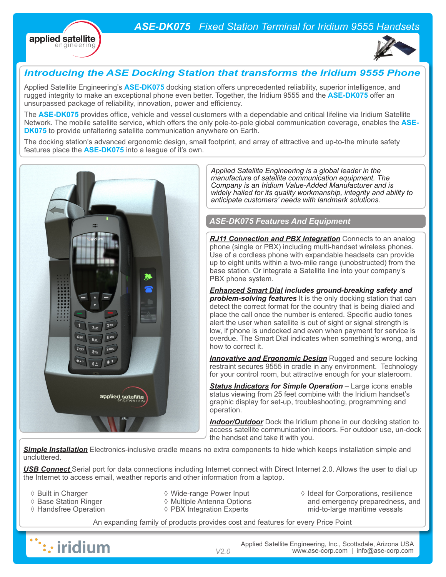## *ASE-DK075 Fixed Station Terminal for Iridium 9555 Handsets*





### *Introducing the ASE Docking Station that transforms the Iridium 9555 Phone*

Applied Satellite Engineering's **ASE-DK075** docking station offers unprecedented reliability, superior intelligence, and rugged integrity to make an exceptional phone even better. Together, the Iridium 9555 and the **ASE-DK075** offer an unsurpassed package of reliability, innovation, power and efficiency.

The **ASE-DK075** provides office, vehicle and vessel customers with a dependable and critical lifeline via Iridium Satellite Network. The mobile satellite service, which offers the only pole-to-pole global communication coverage, enables the **ASE-DK075** to provide unfaltering satellite communication anywhere on Earth.

The docking station's advanced ergonomic design, small footprint, and array of attractive and up-to-the minute safety features place the **ASE-DK075** into a league of it's own.



*Applied Satellite Engineering is a global leader in the manufacture of satellite communication equipment. The Company is an Iridium Value-Added Manufacturer and is widely hailed for its quality workmanship, integrity and ability to anticipate customers' needs with landmark solutions.* 

### *ASE-DK075 Features And Equipment*

**RJ11 Connection and PBX Integration** Connects to an analog phone (single or PBX) including multi-handset wireless phones. Use of a cordless phone with expandable headsets can provide up to eight units within a two-mile range (unobstructed) from the base station. Or integrate a Satellite line into your company's PBX phone system.

*Enhanced Smart Dial includes ground-breaking safety and problem-solving features* It is the only docking station that can detect the correct format for the country that is being dialed and place the call once the number is entered. Specific audio tones alert the user when satellite is out of sight or signal strength is low, if phone is undocked and even when payment for service is overdue. The Smart Dial indicates when something's wrong, and how to correct it.

*Innovative and Ergonomic Design* Rugged and secure locking restraint secures 9555 in cradle in any environment. Technology for your control room, but attractive enough for your stateroom.

*Status Indicators for Simple Operation* – Large icons enable status viewing from 25 feet combine with the Iridium handset's graphic display for set-up, troubleshooting, programming and operation.

**Indoor/Outdoor** Dock the Iridium phone in our docking station to access satellite communication indoors. For outdoor use, un-dock the handset and take it with you.

**Simple Installation** Electronics-inclusive cradle means no extra components to hide which keeps installation simple and uncluttered.

*USB Connect* Serial port for data connections including Internet connect with Direct Internet 2.0. Allows the user to dial up the Internet to access email, weather reports and other information from a laptop.

- ◊ Built in Charger
- ◊ Base Station Ringer
- ◊ Handsfree Operation
- ◊ Wide-range Power Input
- ◊ Multiple Antenna Options ◊ PBX Integration Experts
- ◊ Ideal for Corporations, resilience and emergency preparedness, and mid-to-large maritime vessals

An expanding family of products provides cost and features for every Price Point



Applied Satellite Engineering, Inc., Scottsdale, Arizona USA *V2.0* www.ase-corp.com | info@ase-corp.com